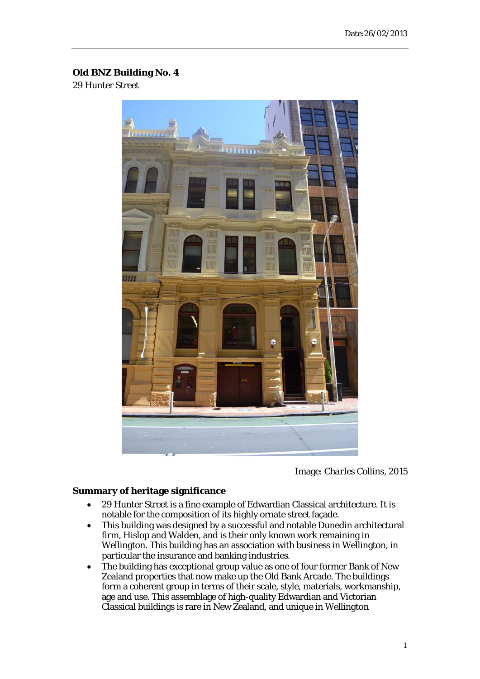## **Old BNZ Building No. 4**

29 Hunter Street



Image: *Charles Collins, 2015*

## **Summary of heritage significance**

- 29 Hunter Street is a fine example of Edwardian Classical architecture. It is notable for the composition of its highly ornate street façade.
- This building was designed by a successful and notable Dunedin architectural firm, Hislop and Walden, and is their only known work remaining in Wellington. This building has an association with business in Wellington, in particular the insurance and banking industries.
- The building has exceptional group value as one of four former Bank of New Zealand properties that now make up the Old Bank Arcade. The buildings form a coherent group in terms of their scale, style, materials, workmanship, age and use. This assemblage of high-quality Edwardian and Victorian Classical buildings is rare in New Zealand, and unique in Wellington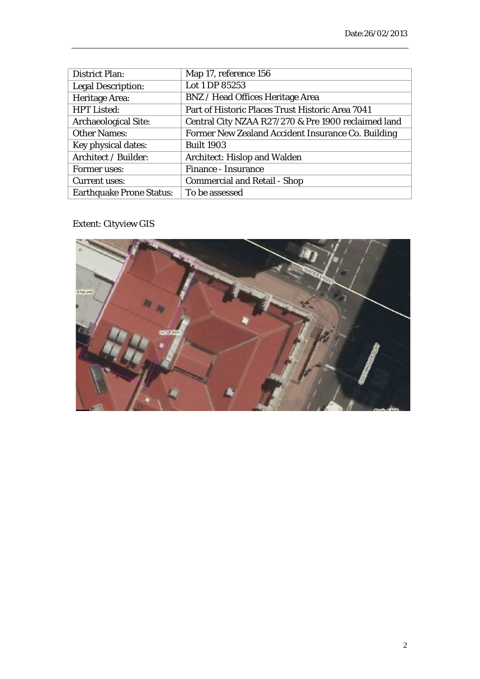| <b>District Plan:</b>           | Map 17, reference 156                               |
|---------------------------------|-----------------------------------------------------|
| <b>Legal Description:</b>       | Lot 1 DP 85253                                      |
| Heritage Area:                  | <b>BNZ</b> / Head Offices Heritage Area             |
| <b>HPT Listed:</b>              | Part of Historic Places Trust Historic Area 7041    |
| <b>Archaeological Site:</b>     | Central City NZAA R27/270 & Pre 1900 reclaimed land |
| <b>Other Names:</b>             | Former New Zealand Accident Insurance Co. Building  |
| Key physical dates:             | <b>Built 1903</b>                                   |
| Architect / Builder:            | <b>Architect: Hislop and Walden</b>                 |
| Former uses:                    | <b>Finance - Insurance</b>                          |
| <b>Current uses:</b>            | <b>Commercial and Retail - Shop</b>                 |
| <b>Earthquake Prone Status:</b> | To be assessed                                      |

Extent: Cityview GIS

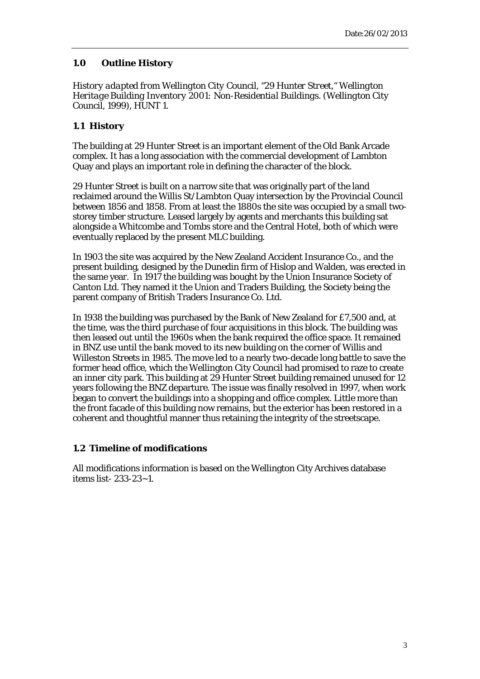## **1.0 Outline History**

*History adapted from Wellington City Council, "29 Hunter Street," Wellington Heritage Building Inventory 2001: Non-Residential Buildings. (Wellington City Council, 1999), HUNT 1.* 

## **1.1 History**

The building at 29 Hunter Street is an important element of the Old Bank Arcade complex. It has a long association with the commercial development of Lambton Quay and plays an important role in defining the character of the block.

29 Hunter Street is built on a narrow site that was originally part of the land reclaimed around the Willis St/Lambton Quay intersection by the Provincial Council between 1856 and 1858. From at least the 1880s the site was occupied by a small twostorey timber structure. Leased largely by agents and merchants this building sat alongside a Whitcombe and Tombs store and the Central Hotel, both of which were eventually replaced by the present MLC building.

In 1903 the site was acquired by the New Zealand Accident Insurance Co., and the present building, designed by the Dunedin firm of Hislop and Walden, was erected in the same year. In 1917 the building was bought by the Union Insurance Society of Canton Ltd. They named it the Union and Traders Building, the Society being the parent company of British Traders Insurance Co. Ltd.

In 1938 the building was purchased by the Bank of New Zealand for £7,500 and, at the time, was the third purchase of four acquisitions in this block. The building was then leased out until the 1960s when the bank required the office space. It remained in BNZ use until the bank moved to its new building on the corner of Willis and Willeston Streets in 1985. The move led to a nearly two-decade long battle to save the former head office, which the Wellington City Council had promised to raze to create an inner city park. This building at 29 Hunter Street building remained unused for 12 years following the BNZ departure. The issue was finally resolved in 1997, when work began to convert the buildings into a shopping and office complex. Little more than the front facade of this building now remains, but the exterior has been restored in a coherent and thoughtful manner thus retaining the integrity of the streetscape.

## **1.2 Timeline of modifications**

All modifications information is based on the Wellington City Archives database items list- 233-23~1.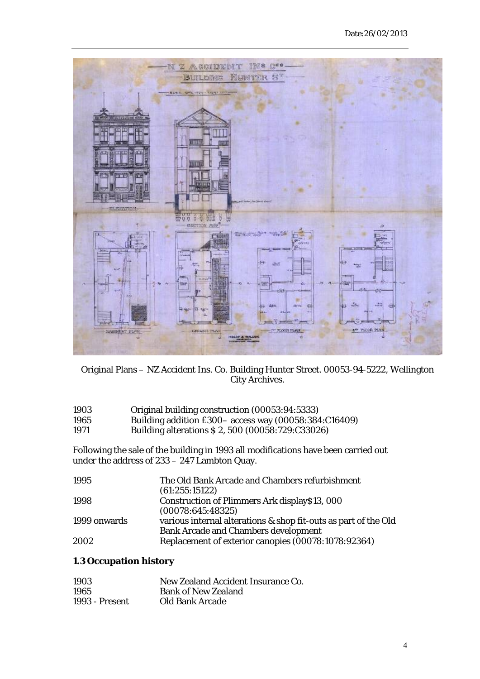

Original Plans – NZ Accident Ins. Co. Building Hunter Street. 00053-94-5222, Wellington City Archives.

| 1903    | Original building construction (00053:94:5333)                                                                                                 |
|---------|------------------------------------------------------------------------------------------------------------------------------------------------|
| 100 $E$ | (0.0050, 0.0010, 0.004, 0.01)<br>$D_{11}$ : $D_{22}$ $D_{32}$ $D_{41}$ $D_{52}$ $D_{52}$ $D_{62}$ $D_{72}$ $D_{83}$ $D_{93}$ $D_{10}$ $D_{11}$ |

1965 Building addition £300– access way (00058:384:C16409)

1971 Building alterations \$ 2, 500 (00058:729:C33026)

Following the sale of the building in 1993 all modifications have been carried out under the address of 233 – 247 Lambton Quay.

| 1995         | The Old Bank Arcade and Chambers refurbishment                  |  |
|--------------|-----------------------------------------------------------------|--|
|              | (61:255:15122)                                                  |  |
| 1998         | Construction of Plimmers Ark display\$13, 000                   |  |
|              | (00078:645:48325)                                               |  |
| 1999 onwards | various internal alterations & shop fit-outs as part of the Old |  |
|              | <b>Bank Arcade and Chambers development</b>                     |  |
| 2002         | Replacement of exterior canopies (00078:1078:92364)             |  |

# **1.3 Occupation history**

| 1903           | New Zealand Accident Insurance Co. |
|----------------|------------------------------------|
| 1965           | <b>Bank of New Zealand</b>         |
| 1993 - Present | Old Bank Arcade                    |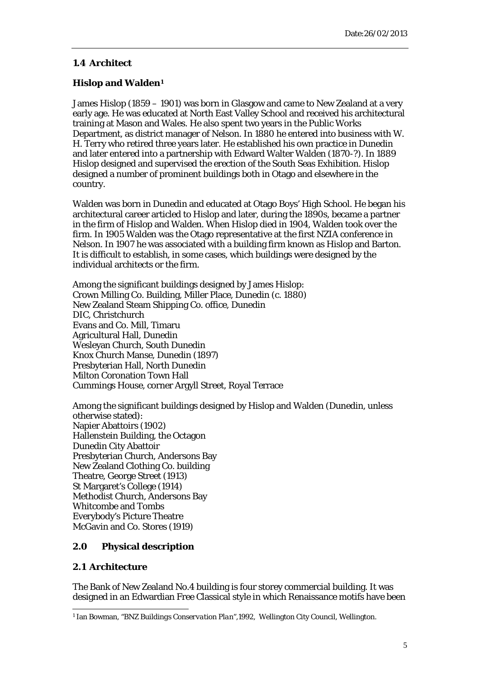## **1.4 Architect**

## **Hislop and Walden[1](#page-4-0)**

James Hislop (1859 – 1901) was born in Glasgow and came to New Zealand at a very early age. He was educated at North East Valley School and received his architectural training at Mason and Wales. He also spent two years in the Public Works Department, as district manager of Nelson. In 1880 he entered into business with W. H. Terry who retired three years later. He established his own practice in Dunedin and later entered into a partnership with Edward Walter Walden (1870-?). In 1889 Hislop designed and supervised the erection of the South Seas Exhibition. Hislop designed a number of prominent buildings both in Otago and elsewhere in the country.

Walden was born in Dunedin and educated at Otago Boys' High School. He began his architectural career articled to Hislop and later, during the 1890s, became a partner in the firm of Hislop and Walden. When Hislop died in 1904, Walden took over the firm. In 1905 Walden was the Otago representative at the first NZIA conference in Nelson. In 1907 he was associated with a building firm known as Hislop and Barton. It is difficult to establish, in some cases, which buildings were designed by the individual architects or the firm.

Among the significant buildings designed by James Hislop: Crown Milling Co. Building, Miller Place, Dunedin (c. 1880) New Zealand Steam Shipping Co. office, Dunedin DIC, Christchurch Evans and Co. Mill, Timaru Agricultural Hall, Dunedin Wesleyan Church, South Dunedin Knox Church Manse, Dunedin (1897) Presbyterian Hall, North Dunedin Milton Coronation Town Hall Cummings House, corner Argyll Street, Royal Terrace

Among the significant buildings designed by Hislop and Walden (Dunedin, unless otherwise stated): Napier Abattoirs (1902) Hallenstein Building, the Octagon Dunedin City Abattoir Presbyterian Church, Andersons Bay New Zealand Clothing Co. building Theatre, George Street (1913) St Margaret's College (1914) Methodist Church, Andersons Bay Whitcombe and Tombs Everybody's Picture Theatre McGavin and Co. Stores (1919)

## **2.0 Physical description**

## **2.1 Architecture**

The Bank of New Zealand No.4 building is four storey commercial building. It was designed in an Edwardian Free Classical style in which Renaissance motifs have been

<span id="page-4-0"></span><sup>1</sup> Ian Bowman, "*BNZ Buildings Conservation Plan",*1992,Wellington City Council, Wellington. -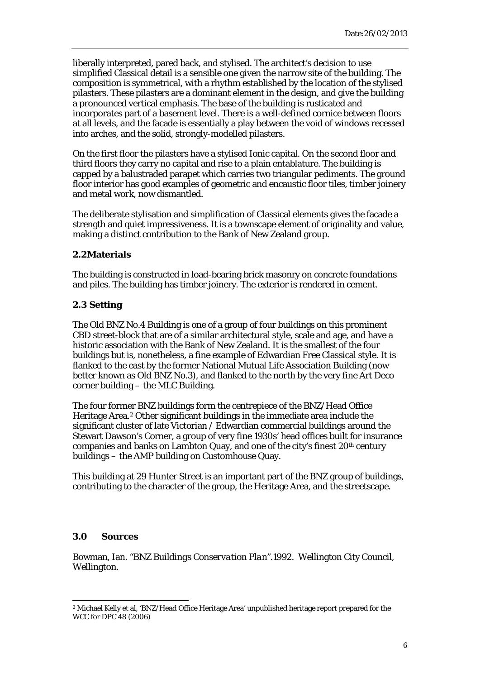liberally interpreted, pared back, and stylised. The architect's decision to use simplified Classical detail is a sensible one given the narrow site of the building. The composition is symmetrical, with a rhythm established by the location of the stylised pilasters. These pilasters are a dominant element in the design, and give the building a pronounced vertical emphasis. The base of the building is rusticated and incorporates part of a basement level. There is a well-defined cornice between floors at all levels, and the facade is essentially a play between the void of windows recessed into arches, and the solid, strongly-modelled pilasters.

On the first floor the pilasters have a stylised Ionic capital. On the second floor and third floors they carry no capital and rise to a plain entablature. The building is capped by a balustraded parapet which carries two triangular pediments. The ground floor interior has good examples of geometric and encaustic floor tiles, timber joinery and metal work, now dismantled.

The deliberate stylisation and simplification of Classical elements gives the facade a strength and quiet impressiveness. It is a townscape element of originality and value, making a distinct contribution to the Bank of New Zealand group.

## **2.2Materials**

The building is constructed in load-bearing brick masonry on concrete foundations and piles. The building has timber joinery. The exterior is rendered in cement.

## **2.3 Setting**

The Old BNZ No.4 Building is one of a group of four buildings on this prominent CBD street-block that are of a similar architectural style, scale and age, and have a historic association with the Bank of New Zealand. It is the smallest of the four buildings but is, nonetheless, a fine example of Edwardian Free Classical style. It is flanked to the east by the former National Mutual Life Association Building (now better known as Old BNZ No.3), and flanked to the north by the very fine Art Deco corner building – the MLC Building.

The four former BNZ buildings form the centrepiece of the BNZ/Head Office Heritage Area.[2](#page-5-0) Other significant buildings in the immediate area include the significant cluster of late Victorian / Edwardian commercial buildings around the Stewart Dawson's Corner, a group of very fine 1930s' head offices built for insurance companies and banks on Lambton Quay, and one of the city's finest 20th century buildings – the AMP building on Customhouse Quay.

This building at 29 Hunter Street is an important part of the BNZ group of buildings, contributing to the character of the group, the Heritage Area, and the streetscape.

## **3.0 Sources**

Bowman, Ian. "*BNZ Buildings Conservation Plan".*1992.Wellington City Council, Wellington.

<span id="page-5-0"></span> $^{\rm 2}$  Michael Kelly et al, 'BNZ/Head Office Heritage Area' unpublished heritage report prepared for the WCC for DPC 48 (2006) -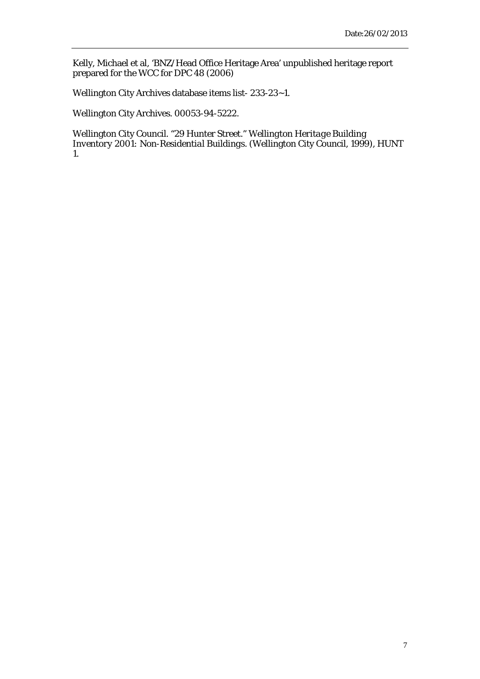Kelly, Michael et al, 'BNZ/Head Office Heritage Area' unpublished heritage report prepared for the WCC for DPC 48 (2006)

Wellington City Archives database items list- 233-23~1.

Wellington City Archives. 00053-94-5222.

Wellington City Council. "29 Hunter Street." *Wellington Heritage Building Inventory 2001: Non-Residential Buildings*. (Wellington City Council, 1999), HUNT 1.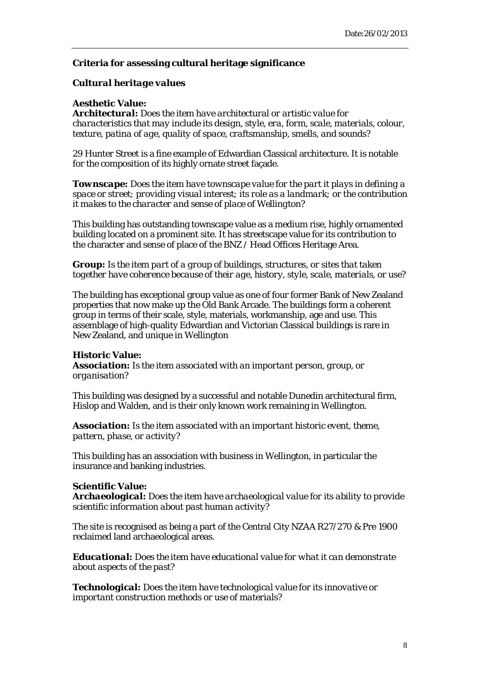## **Criteria for assessing cultural heritage significance**

## *Cultural heritage values*

#### **Aesthetic Value:**

*Architectural: Does the item have architectural or artistic value for characteristics that may include its design, style, era, form, scale, materials, colour, texture, patina of age, quality of space, craftsmanship, smells, and sounds?* 

29 Hunter Street is a fine example of Edwardian Classical architecture. It is notable for the composition of its highly ornate street façade.

*Townscape: Does the item have townscape value for the part it plays in defining a space or street; providing visual interest; its role as a landmark; or the contribution it makes to the character and sense of place of Wellington?* 

This building has outstanding townscape value as a medium rise, highly ornamented building located on a prominent site. It has streetscape value for its contribution to the character and sense of place of the BNZ / Head Offices Heritage Area.

*Group: Is the item part of a group of buildings, structures, or sites that taken together have coherence because of their age, history, style, scale, materials, or use?*

The building has exceptional group value as one of four former Bank of New Zealand properties that now make up the Old Bank Arcade. The buildings form a coherent group in terms of their scale, style, materials, workmanship, age and use. This assemblage of high-quality Edwardian and Victorian Classical buildings is rare in New Zealand, and unique in Wellington

## **Historic Value:**

*Association: Is the item associated with an important person, group, or organisation?* 

This building was designed by a successful and notable Dunedin architectural firm, Hislop and Walden, and is their only known work remaining in Wellington.

*Association: Is the item associated with an important historic event, theme, pattern, phase, or activity?*

This building has an association with business in Wellington, in particular the insurance and banking industries.

## **Scientific Value:**

*Archaeological: Does the item have archaeological value for its ability to provide scientific information about past human activity?* 

The site is recognised as being a part of the Central City NZAA R27/270 & Pre 1900 reclaimed land archaeological areas.

*Educational: Does the item have educational value for what it can demonstrate about aspects of the past?* 

*Technological: Does the item have technological value for its innovative or important construction methods or use of materials?*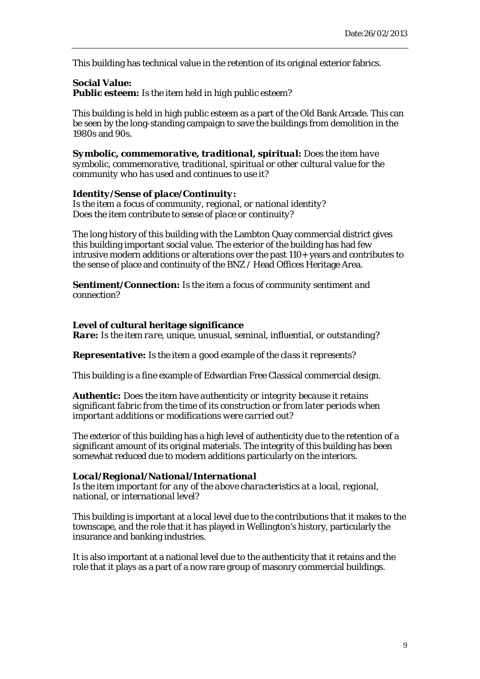This building has technical value in the retention of its original exterior fabrics.

## **Social Value:** *Public esteem: Is the item held in high public esteem?*

This building is held in high public esteem as a part of the Old Bank Arcade. This can be seen by the long-standing campaign to save the buildings from demolition in the 1980s and 90s.

*Symbolic, commemorative, traditional, spiritual: Does the item have symbolic, commemorative, traditional, spiritual or other cultural value for the community who has used and continues to use it?*

#### *Identity/Sense of place/Continuity:*

*Is the item a focus of community, regional, or national identity? Does the item contribute to sense of place or continuity?*

The long history of this building with the Lambton Quay commercial district gives this building important social value. The exterior of the building has had few intrusive modern additions or alterations over the past 110+ years and contributes to the sense of place and continuity of the BNZ / Head Offices Heritage Area.

*Sentiment/Connection: Is the item a focus of community sentiment and connection?*

#### **Level of cultural heritage significance**

*Rare: Is the item rare, unique, unusual, seminal, influential, or outstanding?* 

*Representative: Is the item a good example of the class it represents?* 

This building is a fine example of Edwardian Free Classical commercial design.

*Authentic: Does the item have authenticity or integrity because it retains significant fabric from the time of its construction or from later periods when important additions or modifications were carried out?* 

The exterior of this building has a high level of authenticity due to the retention of a significant amount of its original materials. The integrity of this building has been somewhat reduced due to modern additions particularly on the interiors.

#### *Local/Regional/National/International*

*Is the item important for any of the above characteristics at a local, regional, national, or international level?*

This building is important at a local level due to the contributions that it makes to the townscape, and the role that it has played in Wellington's history, particularly the insurance and banking industries.

It is also important at a national level due to the authenticity that it retains and the role that it plays as a part of a now rare group of masonry commercial buildings.